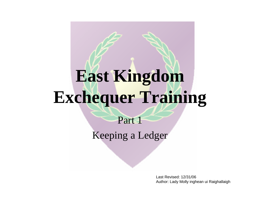# **East Kingdom Exchequer Training**

Part 1Keeping a Ledger

> Last Revised: 12/31/06Author: Lady Molly inghean ui Raighallaigh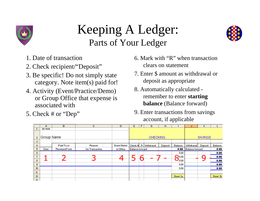



- 1. Date of transaction
- 2. Check recipient/"Deposit"
- 3. Be specific! Do not simply state category. Note item(s) paid for!
- 4. Activity (Event/Practice/Demo) or Group Office that expense is associated with
- 5. Check # or "Dep"
- 6. Mark with "R" when transaction clears on statement
- 7. Enter \$ amount as withdrawal or deposit as appropriate
- 8. Automatically calculated remember to enter **starting balance** (Balance forward)
- 9. Enter transactions from savings account, if applicable

|                 | A          | B             | с               | D          | E               | F | G                    | H       |                     | J.                     | κ       |          |
|-----------------|------------|---------------|-----------------|------------|-----------------|---|----------------------|---------|---------------------|------------------------|---------|----------|
|                 | EK 11/06   |               |                 |            |                 |   |                      |         |                     |                        |         |          |
|                 |            |               |                 |            |                 |   |                      |         |                     |                        |         |          |
| $\overline{c}$  | Group Name |               |                 |            |                 |   | <b>CHECKING</b>      |         |                     |                        | SAVINGS |          |
| 3               |            |               |                 |            |                 |   |                      |         |                     |                        |         |          |
| 4               |            | Paid To or    | Reason          | Event Name |                 |   | Check # R Withdrawal | Deposit | Balance             | Withdrawal             | Deposit | Balance  |
| 5.              | Date.      | Received From | for Transaction | or Office  | Balance forward |   |                      |         |                     | 0.00   Balance forward |         | 0.00     |
| 6               |            |               |                 |            |                 |   |                      |         | 0.00                |                        |         | 0.00     |
| $\overline{z}$  |            |               |                 |            |                 |   |                      |         | $\mathbf{O}^{0.00}$ |                        | O       | 0.00     |
| 8               |            |               |                 |            |                 |   |                      |         | $\mathbf{U}_{0.00}$ |                        |         | 0.00     |
| $\overline{3}$  |            |               |                 |            |                 |   |                      |         | 0.00                |                        |         | 0.00     |
| 10 <sup>°</sup> |            |               |                 |            |                 |   |                      |         | 0.00                |                        |         | 0.00     |
| 11              |            |               |                 |            |                 |   |                      |         |                     |                        |         |          |
| 12              |            |               |                 |            |                 |   |                      |         | Sheet 3a            |                        |         | Sheet 3b |
| 13 <sup>°</sup> |            |               |                 |            |                 |   |                      |         |                     |                        |         |          |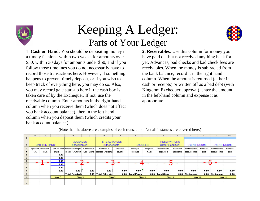



1. **Cash on Hand**: You should be depositing money in a timely fashion– within two weeks for amounts over \$50, within 30 days for amounts under \$50, and if you follow those timelines you do not necessarily have to record those transactions here. However, if something happens to prevent timely deposit, or if you wish to keep track of everything here, you may do so. Also, you may record gate start-up here if the cash box is taken care of by the Exchequer. If not, use the receivable column. Enter amounts in the right-hand column when you receive them (which does not affect you bank account balance), then in the left hand column when you deposit them (which credits your bank account balance.)

**2. Receivables**: Use this column for money you have paid out but not received anything back for yet. Advances, bad checks and bad check fees are receivables. When the money is subtracted from the bank balance, record it in the right hand column. When the amount is returned (either in cash or receipts) or written off as a bad debt (with Kingdom Exchequer approval), enter the amount in the left-hand column and expense it as appropriate.

|    | M.                 | N            | o       | P                                | Q           | R                                                 |           |                     | U               |                     | W         |                 |                |                     | AA.     |
|----|--------------------|--------------|---------|----------------------------------|-------------|---------------------------------------------------|-----------|---------------------|-----------------|---------------------|-----------|-----------------|----------------|---------------------|---------|
|    |                    |              |         |                                  |             |                                                   |           |                     |                 |                     |           |                 |                |                     |         |
|    |                    |              |         | <b>ADVANCES</b>                  |             | SITE ADVANCES                                     |           |                     |                 | <b>RESERVATIONS</b> |           |                 |                |                     |         |
|    |                    | CASH ON HAND |         | (Receivables)                    |             | (Other Assets)                                    |           |                     | <b>PAYABLES</b> | (Other Liabilities) |           | EVENT INCOME    |                | <b>EVENT INCOME</b> |         |
| 3  | Deposited Received |              |         | Cash on hand   Received receipts | Advances or | Returned or                                       | Paid site | Receipts            | Payment         | Reservations        | Recorded  | Event income    | <b>Refunds</b> | Event income        | Refunds |
|    | cash               | cash         | Balance |                                  |             | and/or cash return Bad checks lecorded as expense | advance   | received            | made            | deposited           | as income | deposited/recl  | paid           | deposited/rec       | paid    |
| 5. |                    |              | 0.00    |                                  |             |                                                   |           |                     |                 |                     |           |                 |                |                     |         |
| 6  |                    |              | 0.00    |                                  |             |                                                   |           |                     |                 |                     |           |                 |                |                     |         |
|    |                    |              | 0.00    |                                  |             |                                                   |           |                     |                 |                     |           |                 |                |                     |         |
| 8  |                    |              | 0.00    |                                  |             |                                                   |           |                     |                 |                     |           |                 |                |                     |         |
| 9  |                    |              | 0.00    |                                  |             |                                                   |           |                     |                 |                     |           |                 |                |                     |         |
| 10 |                    |              | 0.00    | 0.00                             | 0.00        | 0.00                                              | 0.00      | 0.00                | 0.00            | 0.00                | 0.00      | 0.00            | 0.00           | 0.00                | 0.00    |
| 11 |                    |              |         | <b>Total Receivab</b>            | 0.00        | Total Other As:                                   | 0.00      | <b>Total Payabl</b> | 0.00            | Total Other         |           | 0.00 Net income |                | 0.00 Net income     | 0.00    |
| 12 |                    |              | Sheet 5 | Sheet 5                          |             | Sheet 5                                           |           |                     | Sheet 5         |                     | Sheet 5   | Sheet 11b       |                | Sheet 11b           |         |
| 13 |                    |              |         |                                  |             |                                                   |           |                     |                 |                     |           |                 |                |                     |         |
| 14 |                    |              |         |                                  |             |                                                   |           |                     |                 |                     |           |                 |                |                     |         |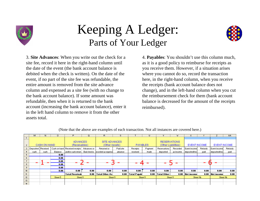



3. **Site Advances**: When you write out the check for a site fee, record it here in the right-hand column until the date of the event (the bank account balance is debited when the check is written). On the date of the event, if no part of the site fee was refundable, the entire amount is removed from the site advance column and expensed as a site fee (with no change to the bank account balance). If some amount was refundable, then when it is returned to the bank account (increasing the bank account balance), enter it in the left hand column to remove it from the other assets total.

4. **Payables**: You shouldn't use this column much, as it is a good policy to reimburse for receipts as you receive them. However, if a situation arises where you cannot do so, record the transaction here, in the right-hand column, when you receive the receipts (bank account balance does not change), and in the left-hand column when you cut the reimbursement check for them (bank account balance is decreased for the amount of the receipts reimbursed).

|                  | M.                   | N            | $\circ$ | P.                               | Q           | R.                              | s.        |                     | υ       | ۷                                          | W         | X                    |         |                 | AA.     |
|------------------|----------------------|--------------|---------|----------------------------------|-------------|---------------------------------|-----------|---------------------|---------|--------------------------------------------|-----------|----------------------|---------|-----------------|---------|
|                  |                      |              |         |                                  |             |                                 |           |                     |         |                                            |           |                      |         |                 |         |
|                  |                      | CASH ON HAND |         | <b>ADVANCES</b><br>(Receivables) |             | SITE ADVANCES<br>(Other Assets) |           | <b>PAYABLES</b>     |         | <b>RESERVATIONS</b><br>(Other Liabilities) |           | EVENT INCOME         |         | EVENT INCOME    |         |
| 3                | Deposited   Received |              |         | Cash on hand   Received receipts | Advances or | Returned or                     | Paid site | Receipts            | Payment | Reservations                               | Recorded  | <b>Event incomel</b> | Refunds | Event income    | Refunds |
|                  | cash                 | cash         | Balance | and/or cash return Bad checks    |             | ecorded as expense              | advance   | received            | made    | deposited                                  | as income | deposited/rec        | paid    | deposited/recl  | paid    |
| 5.               |                      |              | 0.00    |                                  |             |                                 |           |                     |         |                                            |           |                      |         |                 |         |
| 6                |                      |              | 0.00    |                                  |             |                                 |           |                     |         |                                            |           |                      |         |                 |         |
|                  |                      |              | 0.00    |                                  |             |                                 |           |                     |         |                                            |           |                      |         |                 |         |
| $\boldsymbol{8}$ |                      |              | 0.00    |                                  |             |                                 |           |                     |         |                                            |           |                      |         |                 |         |
| $\mathbf{9}$     |                      |              | 0.00    |                                  |             |                                 |           |                     |         |                                            |           |                      |         |                 |         |
| 10               |                      |              | 0.00    | 0.00                             | 0.00        | 0.00                            | 0.00      | 0.00                | 0.00    | 0.00                                       | 0.00      | 0.00                 | 0.00    | 0.00            | 0.00    |
| 11               |                      |              |         | <b>Total Receivab</b>            | 0.00        | Total Other As:                 | 0.00      | <b>Total Payabl</b> | 0.00    | Total Other I                              |           | 0.00 Net income      |         | 0.00 Net income | 0.00    |
| 12               |                      |              | Sheet 5 | Sheet 5                          |             | Sheet 5                         |           |                     | Sheet 5 |                                            | Sheet 5   | Sheet 11b            |         | Sheet 11b       |         |
| 13               |                      |              |         |                                  |             |                                 |           |                     |         |                                            |           |                      |         |                 |         |
| 14               |                      |              |         |                                  |             |                                 |           |                     |         |                                            |           |                      |         |                 |         |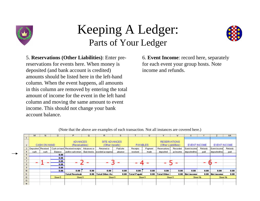



5. **Reservations (Other Liabilities)**: Enter prereservations for events here. When money is deposited (and bank account is credited) amounts should be listed here in the left-hand column. When the event happens, all amounts in this column are removed by entering the total amount of income for the event in the left hand column and moving the same amount to event income. This should not change your bank account balance.

6. **Event Income**: record here, separately for each event your group hosts. Note income and refunds.

|                  |                    |              |         |                                              |      | (INOLE that the above are examples of each transaction. Not all instances are covered here.) |           |                   |         |                     |                     |                     |         |                     |         |
|------------------|--------------------|--------------|---------|----------------------------------------------|------|----------------------------------------------------------------------------------------------|-----------|-------------------|---------|---------------------|---------------------|---------------------|---------|---------------------|---------|
|                  | м.                 | N.           | 0       | P                                            | Q    | B.                                                                                           | s.        |                   | U       |                     | w                   | x                   |         | z.                  | AA.     |
|                  |                    |              |         |                                              |      |                                                                                              |           |                   |         |                     |                     |                     |         |                     |         |
|                  |                    |              |         | <b>ADVANCES</b>                              |      | SITE ADVANCES                                                                                |           |                   |         |                     | <b>RESERVATIONS</b> |                     |         |                     |         |
| 2                |                    | CASH ON HAND |         | (Receivables)                                |      | (Other Assets)                                                                               |           | <b>PAYABLES</b>   |         | (Other Liabilities) |                     | <b>EVENT INCOME</b> |         | <b>EVENT INCOME</b> |         |
|                  | Deposited Received |              |         | Cash on hand Received receipts   Advances or |      | Returned or                                                                                  | Paid site | Receipts          | Payment | Reservations        | Recorded            | Event income        | Refunds | Event income        | Refunds |
|                  | cash               | cash         | Balance |                                              |      | and/or cash return Bad checks lecorded as expense                                            | advance   | received          | made    | deposited           | as income           | deposited/rec       | paid    | deposited/recl      | paid    |
|                  |                    |              | 0.00    |                                              |      |                                                                                              |           |                   |         |                     |                     |                     |         |                     |         |
|                  |                    |              | 0.00    |                                              |      |                                                                                              |           |                   |         |                     |                     |                     |         |                     |         |
|                  |                    |              | 0.00    |                                              |      |                                                                                              |           |                   |         |                     |                     |                     |         |                     |         |
| 8                |                    |              | 0.00    |                                              |      |                                                                                              |           |                   |         |                     |                     |                     |         |                     |         |
| $\overline{3}$   |                    |              | 0.00    |                                              |      |                                                                                              |           |                   |         |                     |                     |                     |         |                     |         |
| 10 <sup>10</sup> |                    |              | 0.00    | 0.00                                         | 0.00 | 0.00                                                                                         | 0.00      | 0.00              | 0.00    | 0.00                | 0.00                | 0.00                | 0.00    | 0.00                | 0.00    |
| 11               |                    |              |         | <b>Total Receivab</b>                        | 0.00 | Total Other As:                                                                              |           | 0.00 Total Payabl |         | 0.00   Total Other  |                     | 0.00 Net income     |         | 0.00 Net income     | 0.00    |
| 12               |                    |              | Sheet 5 | Sheet 5                                      |      | Sheet 5                                                                                      |           | Sheet 5           |         |                     | Sheet 5             | Sheet 11b           |         | Sheet 11b           |         |
| 13               |                    |              |         |                                              |      |                                                                                              |           |                   |         |                     |                     |                     |         |                     |         |
| 14               |                    |              |         |                                              |      |                                                                                              |           |                   |         |                     |                     |                     |         |                     |         |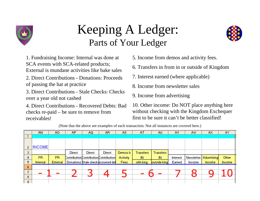



1. Fundraising Income: Internal was done at SCA events with SCA-related products; External is mundane activities like bake sales

2. Direct Contributions - Donations: Proceeds of passing the hat at practice

3. Direct Contributions - Stale Checks: Checks over a year old not cashed

4. Direct Contributions - Recovered Debts: Bad checks re-paid – be sure to remove from receivables!

- 5. Income from demos and activity fees.
- 6. Transfers in from in or outside of Kingdom
- 7. Interest earned (where applicable)
- 8. Income from newsletter sales
- 9. Income from advertising

10. Other income: Do NOT place anything here without checking with the Kingdom Exchequer first to be sure it can't be better classified!

|                | AN <sup>1</sup> | AO.             | AP.    | AQ.    | A <sub>R</sub>                         | AS              | AT         | AU.          | AV       | AW     | AX                       | AY.          |
|----------------|-----------------|-----------------|--------|--------|----------------------------------------|-----------------|------------|--------------|----------|--------|--------------------------|--------------|
|                |                 |                 |        |        |                                        |                 |            |              |          |        |                          |              |
|                |                 |                 |        |        |                                        |                 |            |              |          |        |                          |              |
| $\overline{c}$ | <b>INCOME</b>   |                 |        |        |                                        |                 |            |              |          |        |                          |              |
| 3              |                 |                 | Direct | Direct | <b>Direct</b>                          | Demos &         | Transfers  | Transfers    |          |        |                          |              |
|                | FR.             | FR.             |        |        | Contribution Contribution Contribution | <b>Activity</b> | IN.        | IN.          | Interest |        | Newsletter   Advertising | <b>Other</b> |
| 5              | Internal        | <b>External</b> |        |        | Donations Stale check covered de       | Fees            | włin king. | outside king | Earned   | Income | Income                   | Income.      |
| 6              |                 |                 |        |        |                                        |                 |            |              |          |        |                          |              |
|                |                 |                 |        |        |                                        |                 |            |              |          |        |                          |              |
| 8              |                 |                 |        |        |                                        |                 |            |              |          |        |                          |              |
| 9              |                 |                 |        |        |                                        |                 |            |              |          |        |                          |              |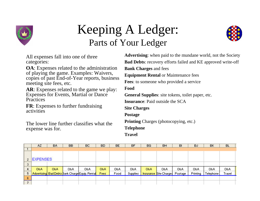



| All expenses fall into one of three                                     | <b>Advertising:</b> when paid to the mundane world, not the Society |
|-------------------------------------------------------------------------|---------------------------------------------------------------------|
| categories:                                                             | <b>Bad Debts:</b> recovery efforts failed and KE approved write-off |
| <b>OA</b> : Expenses related to the administration                      | <b>Bank Charges and fees</b>                                        |
| of playing the game. Examples: Waivers,                                 | <b>Equipment Rental or Maintenance fees</b>                         |
| copies of past End-of-Year reports, business<br>meeting site fees, etc. | Fees: to someone who provided a service                             |
| <b>AR:</b> Expenses related to the game we play:                        | Food                                                                |
| <b>Expenses for Events, Martial or Dance</b>                            | <b>General Supplies:</b> site tokens, toilet paper, etc.            |
| Practices                                                               | <b>Insurance:</b> Paid outside the SCA                              |
| <b>FR</b> : Expenses to further fundraising<br>activities               | <b>Site Charges</b>                                                 |
|                                                                         | <b>Postage</b>                                                      |
| The lower line further classifies what the                              | <b>Printing Charges (photocopying, etc.)</b>                        |
| expense was for.                                                        | <b>Telephone</b>                                                    |
|                                                                         | <b>Travel</b>                                                       |

|                          | AZ              | <b>BA</b> | <b>BB</b> | <b>BC</b>                                       | <b>BD</b> | BE   | BF              | BG  | BH                             | BI  | <b>BJ</b> | BK        | <b>BL</b> |
|--------------------------|-----------------|-----------|-----------|-------------------------------------------------|-----------|------|-----------------|-----|--------------------------------|-----|-----------|-----------|-----------|
|                          |                 |           |           |                                                 |           |      |                 |     |                                |     |           |           |           |
| $\overline{c}$           | <b>EXPENSES</b> |           |           |                                                 |           |      |                 |     |                                |     |           |           |           |
| 3                        |                 |           |           |                                                 |           |      |                 |     |                                |     |           |           |           |
| 4                        | O&A             | O&A       | O&A       | O&A                                             | A&O       | O&A  | O&A             | O&A | 0&A                            | O&A | O&A       | O&A       | O&A       |
| 5                        |                 |           |           | Advertising Bad Debts Bank Charge Equip. Rental | Fees      | Food | <b>Supplies</b> |     | Insurance Site Charges Postage |     | Printing  | Telephone | Travel    |
| 6                        |                 |           |           |                                                 |           |      |                 |     |                                |     |           |           |           |
| $\overline{\phantom{a}}$ |                 |           |           |                                                 |           |      |                 |     |                                |     |           |           |           |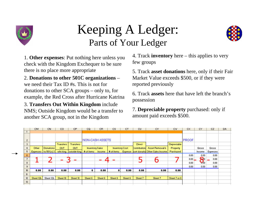



1. **Other expenses**: Put nothing here unless you check with the Kingdom Exchequer to be sure there is no place more appropriate

2. **Donations to other 501C organizations** – we need their Tax ID #s. This is not for donations to other SCA groups – only to, for example, the Red Cross after Hurricane Katrina

3. **Transfers Out Within Kingdom** include NMS; Outside Kingdom would be a transfer to another SCA group, not in the Kingdom

4. Track **inventory** here – this applies to very few groups

5. Track **asset donations** here, only if their Fair Market Value exceeds \$500, or if they were reported previously

6. Track **assets** here that have left the branch's possession

7. **Depreciable property** purchased: only if amount paid exceeds \$500.

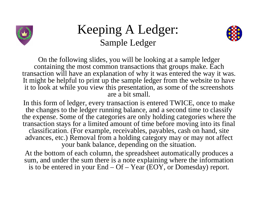



On the following slides, you will be looking at a sample ledger containing the most common transactions that groups make. Each transaction will have an explanation of why it was entered the way it was. It might be helpful to print up the sample ledger from the website to have it to look at while you view this presentation, as some of the screenshots are a bit small.

In this form of ledger, every transaction is entered TWICE, once to make the changes to the ledger running balance, and a second time to classify the expense. Some of the categories are only holding categories where the transaction stays for a limited amount of time before moving into its final classification. (For example, receivables, payables, cash on hand, site advances, etc.) Removal from a holding category may or may not affect your bank balance, depending on the situation.

At the bottom of each column, the spreadsheet automatically produces a sum, and under the sum there is a note explaining where the information is to be entered in your  $End - Of - Year (EOY)$ , or Domesday) report.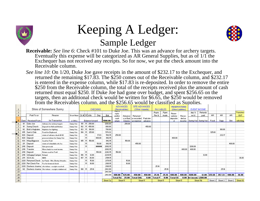



**Receivable:** *See line 6*: Check #101 to Duke Joe. This was an advance for archery targets. Eventually this expense will be categorized as AR General Supplies, but as of 1/1 the Exchequer has not received any receipts. So for now, we put the check amount into the Receivable column.

*See line 10*: On 1/20, Duke Joe gave receipts in the amount of \$232.17 to the Exchequer, and returned the remaining \$17.83. The \$250 comes out of the Receivable column, and \$232.17 is entered in the expense column, while \$17.83 is re-deposited. In order to remove the entire \$250 from the Receivable column, the total of the receipts received plus the amount of cash returned must equal \$250. If Duke Joe had gone over budget, and spent \$256.65 on the targets, then an additional check would be written for \$6.65, the \$250 would be removed from the Receivables column, and the \$256.65 would be classified as Supplies.

| $\overline{c}$ |      |                            | Shire of Somewhere Sunny                             |                   |             |                        | <b>CHECKING</b> |          |                 | <b>ADVANCES</b><br>(Receivables) | <b>SITE ADVANCES</b><br>(Other Assets) |                      |                | PAYABLES |          | <b>RESERVATIONS</b><br>(Other Liabilities) |                    | <b>EVENT INCOME</b>        |         |         |         |            |
|----------------|------|----------------------------|------------------------------------------------------|-------------------|-------------|------------------------|-----------------|----------|-----------------|----------------------------------|----------------------------------------|----------------------|----------------|----------|----------|--------------------------------------------|--------------------|----------------------------|---------|---------|---------|------------|
| 3              |      |                            |                                                      |                   |             |                        |                 |          | ਜ਼ਿਲਾਰ<br>repts |                                  |                                        |                      | Repts          | Pumt     | Reser-   |                                            | dep'd              | Refunds                    |         |         |         | Transfers  |
| $\ddot{4}$     |      | Paid To or                 | Reason                                               | <b>Event Name</b> | Ck # R With |                        | Dep             | Bal      | andłor          | Advance                          | Returned                               |                      | Rec'd          | made     | vations  | Recor-                                     | rec'd              | paid                       | AB.     | AB.     | AB.     | <b>OUT</b> |
| 5.             |      | Date   Received From       | for Transaction                                      | or Office         |             | <b>Balance forward</b> |                 | 1500.00  | cash<br>return  | Checks                           | s or Bad   or recorded<br>as expense   | Paid site<br>advance |                |          | deposite | ded as<br>income                           |                    | Sunny War  Sunny War  Food |         | Supp    | Site    | włin king. |
| 6              | 1/1  | Duke Joe                   | Advance for archery targets                          | Sunny War         |             | $101$ R $250.00$       |                 | 1250.00  |                 | 250.00                           |                                        |                      |                |          |          |                                            |                    |                            |         |         |         |            |
|                |      | Sunny Church               | Deposit for Hall and Kitchen                         | Sunny War         | $102$ R     | 450.00                 |                 | 800.00   |                 |                                  |                                        | 450.00               |                |          |          |                                            |                    |                            |         |         |         |            |
| 8              | 112  | Bob's Haubales             | Haybales for fighting                                | Sunny War         | $103$ R     | 100.00                 |                 | 700.00   |                 |                                  |                                        |                      |                |          |          |                                            |                    |                            |         | 100.00  |         |            |
| $\overline{9}$ | 1/15 | Sam's Club                 | Food for Dauboard                                    | Sunny War         | $104$ R     | 125.68                 |                 | 574.32   |                 |                                  |                                        |                      |                |          |          |                                            |                    |                            | 125.68  |         |         |            |
|                | 1/20 | Deposit                    | return of advance check # 101                        | Sunny War         |             | в                      | 17.83           | 592.15   | 250.00          |                                  |                                        |                      |                |          |          |                                            |                    |                            |         | 232.17  |         |            |
|                | 1/20 | Deposit                    | prereservations for Sunny War                        | Sunny War         |             | B.                     | 400.00          | 992.15   |                 |                                  |                                        |                      |                |          | 400.00   |                                            |                    |                            |         |         |         |            |
| 12             | 1/31 | Mary Bigpurse              | Seed for Troll                                       | Sunny War         | $105$ R     | 150.00                 |                 | 842.15   |                 | 150.00                           |                                        |                      |                |          |          |                                            |                    |                            |         |         |         |            |
| 13             | 211  | Deposit                    | return of refundable site fee                        | Sunny War         |             | в                      | 50.00           | 892.15   |                 |                                  | 450.00                                 |                      |                |          |          |                                            |                    |                            |         |         | 400.00  |            |
| 14             | 2/10 | Deposit                    | Gate proceeds                                        | Sunny War         |             | B.                     | #####           | 2092.15  |                 |                                  |                                        |                      |                |          |          |                                            | 1200.00            |                            |         |         |         |            |
| 15             | 2/10 | Transfer                   | Move funds to event income                           | Sunny War         |             |                        |                 | 2092.15  |                 |                                  |                                        |                      |                |          |          | 400.00                                     | 400.00             |                            |         |         |         |            |
| 16             | 2/10 | Deposit                    | Return seed for Troll                                | Sunny War         |             | B                      | 150.00          | 2242.15  | 150.00          |                                  |                                        |                      |                |          |          |                                            |                    |                            |         |         |         |            |
|                |      | 2/10 Unhappy Camper Refund |                                                      | Sunny War         | 106         | 12.00<br>в             |                 | 2230.15  |                 |                                  |                                        |                      |                |          |          |                                            |                    | 12.00                      |         |         |         |            |
| 18             | 2/11 | SCA, Inc.                  | <b>NMS</b>                                           | Sunny War         | $107$ R     | 36.00                  |                 | 2194.15  |                 |                                  |                                        |                      |                |          |          |                                            |                    |                            |         |         |         | 36.00      |
|                | 2/28 | <b>Returned Check</b>      | Ins Funds - Mrs. Bratty Attendee                     | Sunny War         |             | B<br>15.00             |                 | 2179.15  |                 | 15.00                            |                                        |                      |                |          |          |                                            |                    |                            |         |         |         |            |
| 20             | 2ł28 | <b>Ret Check Fee</b>       | Fee for bounced check                                | Sunny War         |             | 10.00<br>B.            |                 | 2169.15  |                 | 10.00                            |                                        |                      |                |          |          |                                            |                    |                            |         |         |         |            |
| 21             |      |                            | 2/28 Duchess Joanna site tokens - receipts received  | Sunny War         |             |                        |                 | 2169.15  |                 |                                  |                                        |                      | 25.16          |          |          |                                            |                    |                            |         |         |         |            |
| 22             |      |                            | 3/2 Duchess Joanna Site tokens - receipts reimbursed | Sunny War         | $108$ R     | 25.16                  |                 | 2143.99  |                 |                                  |                                        |                      |                | 25.16    |          |                                            |                    |                            |         | 25.16   |         |            |
| 23             |      |                            |                                                      |                   |             |                        |                 | 2143.99  |                 |                                  |                                        |                      |                |          |          |                                            |                    |                            |         |         |         |            |
| 24             |      |                            |                                                      |                   |             |                        |                 | 2143.99  | 400.00          | 425.00                           | 450.00                                 | 450.00               | 25.16          | 25.16    | 400.00   | 400.00                                     | 1600.00            | 12.00                      | 125.68  | 357.33  | 400.00  | 36.00      |
| 25             |      |                            |                                                      |                   |             |                        |                 |          | <b>Total Re</b> | 25.00                            | Total Oth-                             | 0.00                 | <b>Total P</b> | 0.00     | Total Ol | 0.00                                       | let incom 1,588.00 |                            |         |         |         |            |
| 26             |      |                            |                                                      |                   |             |                        |                 | Sheet 3a |                 | Sheet 5                          |                                        | Sheet 5              |                | Sheet 5  |          | Sheet 5                                    |                    | Sheet 11b                  | Sheet 2 | Sheet 2 | Sheet 2 | Sheet 10   |
|                |      |                            |                                                      |                   |             |                        |                 |          |                 |                                  |                                        |                      |                |          |          |                                            |                    |                            |         |         |         |            |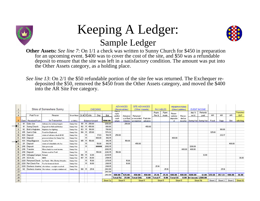



**Other Assets:** *See line 7*: On 1/1 a check was written to Sunny Church for \$450 in preparation for an upcoming event. \$400 was to cover the cost of the site, and \$50 was a refundable deposit to ensure that the site was left in a satisfactory condition. The amount was put into the Other Assets category, as a holding place.

*See line 13*: On 2/1 the \$50 refundable portion of the site fee was returned. The Exchequer redeposited the \$50, removed the \$450 from the Other Assets category, and moved the \$400 into the AR Site Fee category.

| $\overline{c}$ |      |                       | Shire of Somewhere Sunny                            |                   |         |                 | <b>CHECKING</b> |          | (Receivables)   | <b>ADVANCES</b> | <b>SITE ADVANCES</b><br>(Other Assets)      |                      |         | PAYABLES |                 | <b>RESERVATIONS</b><br>(Other Liabilities) |                    | <b>EVENT INCOME</b>  |              |         |         |            |
|----------------|------|-----------------------|-----------------------------------------------------|-------------------|---------|-----------------|-----------------|----------|-----------------|-----------------|---------------------------------------------|----------------------|---------|----------|-----------------|--------------------------------------------|--------------------|----------------------|--------------|---------|---------|------------|
| 3              |      |                       |                                                     |                   |         |                 |                 |          | media<br>repts  |                 |                                             |                      | Repts   | Pumt     | Reser-          |                                            | dep'd              | Refunds              |              |         |         | Transfers  |
| 4              |      | Paid To or            | Reason                                              | <b>Event Name</b> |         | Ck # R With     | <b>Dep</b>      | Bal      | and/or          | Advance         | Returned                                    |                      | Rec'd   | made     | vations         | Recor-                                     | rec'd              | paid                 | AB.          | AB.     | AB.     | <b>OUT</b> |
|                |      | Date   Received From  | for Transaction                                     | or Office         |         | Balance forward |                 | 1500.00  | cash<br>return  |                 | s or Bad or recorded<br>Checks   as expense | Paid site<br>advance |         |          | deposite        | ded as<br>income                           |                    | Sunny Warl Sunny War | Food         | Supp    | Site    | włin king. |
| 6              | 1/1  | Duke Joe              | Advance for archery targets                         | Sunny War         | 101     | R 250.00        |                 | 1250.00  |                 | 250.00          |                                             |                      |         |          |                 |                                            |                    |                      |              |         |         |            |
|                | 1/1  | Sunny Church          | Deposit for Hall and Kitchen                        | Sunny War         | $102$ R | 450.00          |                 | 800.00   |                 |                 |                                             | 450.00               |         |          |                 |                                            |                    |                      |              |         |         |            |
| 8              | 1/2  | Bob's Haybales        | Haybales for fighting                               | Sunny War         | 103     | 100.00<br>l B   |                 | 700.00   |                 |                 |                                             |                      |         |          |                 |                                            |                    |                      |              | 100.00  |         |            |
| S              | 1/15 | Sam's Club            | Food for Dayboard                                   | Sunny War         | $104$ R | 125.68          |                 | 574.32   |                 |                 |                                             |                      |         |          |                 |                                            |                    |                      | 125.68       |         |         |            |
| 10             | 1/20 | Deposit               | return of advance check # 101                       | Sunny War         |         | в               | 17.83           | 592.15   | 250.00          |                 |                                             |                      |         |          |                 |                                            |                    |                      |              | 232.17  |         |            |
|                | 1/20 | Deposit               | prereservations for Sunny War                       | Sunny War         |         | B               | 400.00          | 992.15   |                 |                 |                                             |                      |         |          | 400.00          |                                            |                    |                      |              |         |         |            |
| 12             | 1/31 | Mary Bigpurse         | Seed for Troll                                      | Sunny War         | 105     | l Bl<br>150.00  |                 | 842.15   |                 | 150.00          |                                             |                      |         |          |                 |                                            |                    |                      |              |         |         |            |
| 13             | 211  | Deposit               | return of refundable site fee                       | Sunny War         |         | в               | 50.00           | 892.15   |                 |                 | 450.00                                      |                      |         |          |                 |                                            |                    |                      |              |         | 400.00  |            |
| 14             | 2/10 | Deposit               | Gate proceeds                                       | Sunny War         |         | B               | #####           | 2092.15  |                 |                 |                                             |                      |         |          |                 |                                            | 1200.00            |                      |              |         |         |            |
| 15             | 2/10 | Transfer              | Move funds to event income                          | Sunny War         |         |                 |                 | 2092.15  |                 |                 |                                             |                      |         |          |                 | 400.00                                     | 400.00             |                      |              |         |         |            |
| 16             | 2/10 | Deposit               | Return seed for Troll                               | Sunny War         |         | B.              | 150.00          | 2242.15  | 150.00          |                 |                                             |                      |         |          |                 |                                            |                    |                      |              |         |         |            |
|                | 2/10 | Unhappy Camper        | Refund                                              | Sunny War         | 106     | 12.00<br>B.     |                 | 2230.15  |                 |                 |                                             |                      |         |          |                 |                                            |                    | 12.00                |              |         |         |            |
| 18             | 2111 | SCA, Inc.             | <b>NMS</b>                                          | Sunny War         | 107     | 36.00<br>IB.    |                 | 2194.15  |                 |                 |                                             |                      |         |          |                 |                                            |                    |                      |              |         |         | 36.00      |
| 19             | 2/28 | <b>Returned Check</b> | Ins Funds - Mrs. Bratty Attendee                    | Sunny War         |         | 15.00<br>в      |                 | 2179.15  |                 | 15.00           |                                             |                      |         |          |                 |                                            |                    |                      |              |         |         |            |
| 20             |      | 2/28 Ret Check Fee    | Fee for bounced check                               | Sunny War         |         | B.<br>10.00     |                 | 2169.15  |                 | 10.00           |                                             |                      |         |          |                 |                                            |                    |                      |              |         |         |            |
| 21             |      |                       | 2/28 Duchess Joanna site tokens - receipts received | Sunny War         |         |                 |                 | 2169.15  |                 |                 |                                             |                      | 25.16   |          |                 |                                            |                    |                      |              |         |         |            |
| 22             | 3l2  |                       | Duchess Joanna Site tokens - receipts reimbursed    | Sunny War         | 108     | 25.16<br>R      |                 | 2143.99  |                 |                 |                                             |                      |         | 25.16    |                 |                                            |                    |                      |              | 25.16   |         |            |
| 23             |      |                       |                                                     |                   |         |                 |                 | 2143.99  |                 |                 |                                             |                      |         |          |                 |                                            |                    |                      |              |         |         |            |
| 24             |      |                       |                                                     |                   |         |                 |                 | 2143.99  | 400.00          | 425.00          | 450.00                                      | 450.00               | 25.16   | 25.16    | 400.00          | 400.00                                     | 1600.00            |                      | 12.00 125.68 | 357.33  | 400.00  | 36.00      |
| 25             |      |                       |                                                     |                   |         |                 |                 |          | <b>Total Re</b> | 25.00           | Total Oth-                                  | 0.00                 | Total P | 0.00     | <b>Total Of</b> | 0.00                                       | let incom 1,588.00 |                      |              |         |         |            |
| 26             |      |                       |                                                     |                   |         |                 |                 | Sheet 3a |                 | Sheet 5         |                                             | Sheet 5              |         | Sheet 5  |                 | Sheet 5                                    |                    | Sheet 11b            | Sheet 2      | Sheet 2 | Sheet 2 | Sheet 10   |
|                |      |                       |                                                     |                   |         |                 |                 |          |                 |                 |                                             |                      |         |          |                 |                                            |                    |                      |              |         |         |            |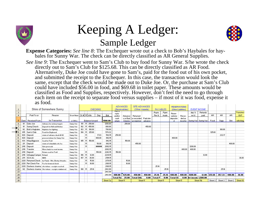



**Expense Categories:** *See line 8*: The Exchequer wrote out a check to Bob's Haybales for haybales for Sunny War. The check can be directly classified as AR General Supplies.

*See line 9*: The Exchequer went to Sam's Club to buy food for Sunny War. S/he wrote the check directly out to Sam's Club for \$125.68. This can be directly classified as AR Food. Alternatively, Duke Joe could have gone to Sam's, paid for the food out of his own pocket, and submitted the receipt to the Exchequer. In this case, the transaction would look the same, except that the check would be made out to Duke Joe. Or, the purchase at Sam's Club could have included \$56.00 in food, and \$69.68 in toilet paper. These amounts would be classified as Food and Supplies, respectively. However, don't feel the need to go through each item on the receipt to separate food versus supplies – if most of it was food, expense it as food.

| $\overline{c}$ |      |                       | Shire of Somewhere Sunny                             |                            |     |         |                        | <b>CHECKING</b> |          |                 | <b>ADVANCES</b><br>(Receivables) | <b>SITE ADVANCES</b><br>(Other Assets) |                      |              | <b>PAYABLES</b> |          | <b>RESERVATIONS</b><br>(Other Liabilities) |                    | <b>EVENT INCOME</b>   |         |         |         |            |
|----------------|------|-----------------------|------------------------------------------------------|----------------------------|-----|---------|------------------------|-----------------|----------|-----------------|----------------------------------|----------------------------------------|----------------------|--------------|-----------------|----------|--------------------------------------------|--------------------|-----------------------|---------|---------|---------|------------|
| 3              |      |                       |                                                      |                            |     |         |                        |                 |          | ਜਾਦਾਰ<br>repts  |                                  |                                        |                      | <b>Repts</b> | Pumt            | Reser-   |                                            | dep'd              | <b>Refunds</b>        |         |         |         | Transfers  |
| 4              |      | Paid To or            | Reason                                               | Event Name Ck #   B   With |     |         |                        | <b>Dep</b>      | Bal      | and/or          | Advance                          | Returned                               |                      | Rec'd        | made            | vations  | Recor-                                     | rec'd              | paid                  | AB.     | AB.     | AB.     | <b>OUT</b> |
|                |      | Date   Received From  | for Transaction                                      | or Office                  |     |         | <b>Balance forward</b> |                 | 1500.00  | cash<br>return  | Checks                           | s or Bad   or recorded<br>as expense   | Paid site<br>advance |              |                 | deposite | ded as<br>income                           |                    | Sunny Warl Sunny Warl | Food    | Supp    | Site    | włin king. |
| -6             | 1/1  | Duke Joe              | Advance for archery targets                          | Sunny War                  |     |         | $101$ R $250.00$       |                 | 1250.00  |                 | 250.00                           |                                        |                      |              |                 |          |                                            |                    |                       |         |         |         |            |
|                | 1/1  | Sunny Church          | Deposit for Hall and Kitchen                         | Sunny War                  |     | $102$ R | 450.00                 |                 | 800.00   |                 |                                  |                                        | 450.00               |              |                 |          |                                            |                    |                       |         |         |         |            |
|                |      | 1/2 Bob's Haubales    | Haybales for fighting                                | Sunny War                  |     | $103$ R | 100.00                 |                 | 700.00   |                 |                                  |                                        |                      |              |                 |          |                                            |                    |                       |         | 100.00  |         |            |
|                | 1/15 | Sam's Club            | Food for Dauboard                                    | Sunny War                  |     | $104$ R | 125.68                 |                 | 574.32   |                 |                                  |                                        |                      |              |                 |          |                                            |                    |                       | 125.68  |         |         |            |
| 10             | 1/20 | Deposit               | return of advance check # 101                        | Sunny War                  |     | B.      |                        | 17.83           | 592.15   | 250.00          |                                  |                                        |                      |              |                 |          |                                            |                    |                       |         | 232.17  |         |            |
| 11             | 1/20 | Deposit               | prereservations for Sunny War                        | Sunny War                  |     | B.      |                        | 400.00          | 992.15   |                 |                                  |                                        |                      |              |                 | 400.00   |                                            |                    |                       |         |         |         |            |
| 12             |      | Mary Bigpurse         | Seed for Troll                                       | Sunny War                  |     | $105$ R | 150.00                 |                 | 842.15   |                 | 150.00                           |                                        |                      |              |                 |          |                                            |                    |                       |         |         |         |            |
| 13             | 2H   | Deposit               | return of refundable site fee                        | Sunny War                  |     | B.      |                        | 50.00           | 892.15   |                 |                                  | 450.00                                 |                      |              |                 |          |                                            |                    |                       |         |         | 400.00  |            |
| 14             | 2/10 | Deposit               | Gate proceeds                                        | Sunny War                  |     | R.      |                        | #####           | 2092.15  |                 |                                  |                                        |                      |              |                 |          |                                            | 1200.00            |                       |         |         |         |            |
| 15             | 2/10 | Transfer              | Move funds to event income                           | Sunny War                  |     |         |                        |                 | 2092.15  |                 |                                  |                                        |                      |              |                 |          | 400.00                                     | 400.00             |                       |         |         |         |            |
| 16             | 2/10 | Deposit               | Return seed for Troll                                | Sunny War                  |     | B.      |                        | 150.00          | 2242.15  | 150.00          |                                  |                                        |                      |              |                 |          |                                            |                    |                       |         |         |         |            |
| 17             |      | 2/10 Unhappy Camper   | Refund                                               | Sunny War                  | 106 | в       | 12.00                  |                 | 2230.15  |                 |                                  |                                        |                      |              |                 |          |                                            |                    | 12.00                 |         |         |         |            |
| 18             | 2/11 | SCA, Inc.             | <b>NMS</b>                                           | Sunny War                  |     | $107$ R | 36.00                  |                 | 2194.15  |                 |                                  |                                        |                      |              |                 |          |                                            |                    |                       |         |         |         | 36.00      |
| 19             |      | <b>Returned Check</b> | Ins Funds - Mrs. Bratty Attendee                     | Sunny War                  |     | B       | 15.00                  |                 | 2179.15  |                 | 15.00                            |                                        |                      |              |                 |          |                                            |                    |                       |         |         |         |            |
| 20             |      | 2/28 Ret Check Fee    | Fee for bounced check                                | Sunny War                  |     | B.      | 10.00                  |                 | 2169.15  |                 | 10.00                            |                                        |                      |              |                 |          |                                            |                    |                       |         |         |         |            |
| 21             |      |                       | 2/28 Duchess Joanna site tokens - receipts received  | Sunny War                  |     |         |                        |                 | 2169.15  |                 |                                  |                                        |                      | 25.16        |                 |          |                                            |                    |                       |         |         |         |            |
| 22             |      |                       | 3/2 Duchess Joanna Site tokens - receipts reimbursed | Sunny War                  |     | $108$ R | 25.16                  |                 | 2143.99  |                 |                                  |                                        |                      |              | 25.16           |          |                                            |                    |                       |         | 25.16   |         |            |
| 23             |      |                       |                                                      |                            |     |         |                        |                 | 2143.99  |                 |                                  |                                        |                      |              |                 |          |                                            |                    |                       |         |         |         |            |
| 24             |      |                       |                                                      |                            |     |         |                        |                 | 2143.99  | 400.00          | 425.00                           | 450.00                                 | 450.00               | 25.16        | 25.16           | 400.00   | 400.00                                     | 1600.00            | 12.00                 | 125.68  | 357.33  | 400.00  | 36.00      |
| 25             |      |                       |                                                      |                            |     |         |                        |                 |          | <b>Total Re</b> | 25.00                            | <b>Total Oth-</b>                      | 0.00                 | Total P      | 0.00            | Total OI | 0.00                                       | let incom 1,588.00 |                       |         |         |         |            |
| 26             |      |                       |                                                      |                            |     |         |                        |                 | Sheet 3a |                 | Sheet 5                          |                                        | Sheet 5              |              | Sheet 5         |          | Sheet 5                                    |                    | Sheet 11b             | Sheet 2 | Sheet 2 | Sheet 2 | Sheet 10   |
|                |      |                       |                                                      |                            |     |         |                        |                 |          |                 |                                  |                                        |                      |              |                 |          |                                            |                    |                       |         |         |         |            |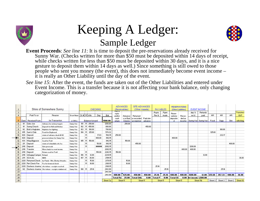



**Event Proceeds**: *See line 11*: It is time to deposit the pre-reservations already received for Sunny War. (Checks written for more than \$50 must be deposited within 14 days of receipt, while checks written for less than \$50 must be deposited within 30 days, and it is a nice gesture to deposit them within 14 days as well.) Since something is still owed to those people who sent you money (the event), this does not immediately become event income – it is really an Other Liability until the day of the event.

*See line 15*: After the event, the funds are taken out of the Other Liabilities and entered under Event Income. This is a transfer because it is not affecting your bank balance, only changing categorization of money.

| $\overline{c}$ |      |                      | Shire of Somewhere Sunny                           |                   |         |                        | <b>CHECKING</b> |            |          | (Receivables)   | <b>ADVANCES</b> | <b>SITE ADVANCES</b><br>(Other Assets) |                      |                | <b>PAYABLES</b> |                 | <b>RESERVATIONS</b><br>(Other Liabilities) |                         | <b>EVENT INCOME</b> |                  |         |         |            |
|----------------|------|----------------------|----------------------------------------------------|-------------------|---------|------------------------|-----------------|------------|----------|-----------------|-----------------|----------------------------------------|----------------------|----------------|-----------------|-----------------|--------------------------------------------|-------------------------|---------------------|------------------|---------|---------|------------|
| 3              |      |                      |                                                    |                   |         |                        |                 |            |          | लिएए<br>repts   |                 |                                        |                      | Repts          | Pumt            | Reser-          |                                            | dep'd                   | Refunds             |                  |         |         | Transfers  |
| $\ddot{4}$     |      | Paid To or           | Reason                                             | <b>Event Name</b> |         | Ck # R With            |                 | <b>Dep</b> | Bal      | and/or          | Advance         | Returned                               |                      | Rec'd          | made            | vations         | Recor-                                     | rec'd                   | paid                | AB.              | AB.     | AB.     | <b>OUT</b> |
| 5              |      | Date   Received From | for Transaction                                    | or Office         |         | <b>Balance forward</b> |                 |            | 1500.00  | cash<br>return  | Checks          | s or Bad Tor recorded<br>as expense    | Paid site<br>advance |                |                 | deposite        | ded as<br>income                           |                         | Sunny War Sunny War | Food             | Supp    | Site    | włin king. |
| 6              | 11   | Duke Joe             | Advance for archery targets                        | Sunny War         |         | $101$ R $250.00$       |                 |            | 1250.00  |                 | 250.00          |                                        |                      |                |                 |                 |                                            |                         |                     |                  |         |         |            |
|                | 1/1  | Sunny Church         | Deposit for Hall and Kitchen                       | Sunny War         |         | $102$ R                | 450.00          |            | 800.00   |                 |                 |                                        | 450.00               |                |                 |                 |                                            |                         |                     |                  |         |         |            |
| 8              | 1/2  | Bob's Haubales       | Haybales for fighting                              | Sunny War         |         | $103$ R                | 100.00          |            | 700.00   |                 |                 |                                        |                      |                |                 |                 |                                            |                         |                     |                  | 100.00  |         |            |
| $\mathbf{9}$   | 1/15 | Sam's Club           | Food for Dauboard                                  | Sunny War         | $104$ R |                        | 125.68          |            | 574.32   |                 |                 |                                        |                      |                |                 |                 |                                            |                         |                     | 125.68           |         |         |            |
| 10             | 1/20 | Deposit              | return of advance check # 101                      | Sunny War         |         | R.                     |                 | 17.83      | 592.15   | 250.00          |                 |                                        |                      |                |                 |                 |                                            |                         |                     |                  | 232.17  |         |            |
|                | 1/20 | Deposit              | prereservations for Sunny War                      | Sunny War         |         | B.                     |                 | 400.00     | 992.15   |                 |                 |                                        |                      |                |                 | 400.00          |                                            |                         |                     |                  |         |         |            |
| 12             | 1/31 | Mary Bigpurse        | Seed for Troll                                     | Sunny War         |         | $105$ R                | 150.00          |            | 842.15   |                 | 150.00          |                                        |                      |                |                 |                 |                                            |                         |                     |                  |         |         |            |
| 13             | 211  | Deposit              | return of refundable site fee                      | Sunny War         |         | B.                     |                 | 50.00      | 892.15   |                 |                 | 450.00                                 |                      |                |                 |                 |                                            |                         |                     |                  |         | 400.00  |            |
| 14             | 2/10 | Deposit              | Gate proceeds                                      | Sunny War         |         | R.                     |                 | #####      | 2092.15  |                 |                 |                                        |                      |                |                 |                 |                                            | 1200.00                 |                     |                  |         |         |            |
| 15             | 2/10 | Transfer             | Move funds to event income                         | Sunny War         |         |                        |                 |            | 2092.15  |                 |                 |                                        |                      |                |                 |                 | 400.00                                     | 400.00                  |                     |                  |         |         |            |
| 16             | 2/10 | Deposit              | Return seed for Troll                              | Sunny War         |         | B.                     |                 | 150.00     | 2242.15  | 150.00          |                 |                                        |                      |                |                 |                 |                                            |                         |                     |                  |         |         |            |
| 17             | 2/10 | Unhappy Camper       | Refund                                             | Sunny War         | $106$ R |                        | 12.00           |            | 2230.15  |                 |                 |                                        |                      |                |                 |                 |                                            |                         | 12.00               |                  |         |         |            |
| 18             | 2/11 | SCA, Inc.            | <b>NMS</b>                                         | Sunny War         | $107$ R |                        | 36.00           |            | 2194.15  |                 |                 |                                        |                      |                |                 |                 |                                            |                         |                     |                  |         |         | 36.00      |
| 19             | 2/28 | Returned Check       | Ins Funds - Mrs. Bratty Attendee                   | Sunny War         |         | в                      | 15.00           |            | 2179.15  |                 | 15.00           |                                        |                      |                |                 |                 |                                            |                         |                     |                  |         |         |            |
| 20             | 2/28 | <b>Ret Check Fee</b> | Fee for bounced check                              | Sunny War         |         | R                      | 10.00           |            | 2169.15  |                 | 10.00           |                                        |                      |                |                 |                 |                                            |                         |                     |                  |         |         |            |
| 21             | 2/28 |                      | Duchess Joanna site tokens - receipts received     | Sunny War         |         |                        |                 |            | 2169.15  |                 |                 |                                        |                      | 25.16          |                 |                 |                                            |                         |                     |                  |         |         |            |
| 22             | 3l2  |                      | Duchess Joanna   Site tokens - receipts reimbursed | Sunny War         | $108$ R |                        | 25.16           |            | 2143.99  |                 |                 |                                        |                      |                | 25.16           |                 |                                            |                         |                     |                  | 25.16   |         |            |
| 23             |      |                      |                                                    |                   |         |                        |                 |            | 2143.99  |                 |                 |                                        |                      |                |                 |                 |                                            |                         |                     |                  |         |         |            |
| 24             |      |                      |                                                    |                   |         |                        |                 |            | 2143.99  | 400.00          | 425.00          | 450.00                                 | 450.00               | 25.16          | 25.16           | 400.00          | 400.00                                     | 1600.00                 |                     | $12.00$   125.68 | 357.33  | 400.00  | 36.00      |
| 25             |      |                      |                                                    |                   |         |                        |                 |            |          | <b>Total Re</b> | 25.00           | <b>Total Oth-</b>                      | 0.00                 | <b>Total P</b> | 0.00            | <b>Total Of</b> |                                            | 0.00 let incom 1,588.00 |                     |                  |         |         |            |
| 26             |      |                      |                                                    |                   |         |                        |                 |            | Sheet 3a |                 | Sheet 5         |                                        | Sheet 5              |                | Sheet 5         |                 | Sheet 5                                    |                         | Sheet 11b           | Sheet 2          | Sheet 2 | Sheet 2 | Sheet 10   |
|                |      |                      |                                                    |                   |         |                        |                 |            |          |                 |                 |                                        |                      |                |                 |                 |                                            |                         |                     |                  |         |         |            |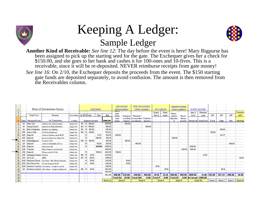



**Another Kind of Receivable:** *See line 12*: The day before the event is here! Mary Bigpurse has been assigned to pick up the starting seed for the gate. The Exchequer gives her a check for \$150.00, and she goes to her bank and cashes it for 100-ones and 10-fives. This is a receivable, since it will be re-deposited. NEVER reimburse receipts from gate money!

*See line 16*: On 2/10, the Exchequer deposits the proceeds from the event. The \$150 starting gate funds are deposited separately, to avoid confusion. The amount is then removed from the Receivables column.

| $\overline{c}$ |      |                      | Shire of Somewhere Sunny                         |                   |         |                        | <b>CHECKING</b> |            |          | (Receivables)   | <b>ADVANCES</b> | <b>SITE ADVANCES</b><br>(Other Assets) |                      |                | <b>PAYABLES</b> |          | <b>RESERVATIONS</b><br>(Other Liabilities) |                         | <b>EVENT INCOME</b> |              |             |         |            |
|----------------|------|----------------------|--------------------------------------------------|-------------------|---------|------------------------|-----------------|------------|----------|-----------------|-----------------|----------------------------------------|----------------------|----------------|-----------------|----------|--------------------------------------------|-------------------------|---------------------|--------------|-------------|---------|------------|
| 3              |      |                      |                                                  |                   |         |                        |                 |            |          | necu            |                 |                                        |                      | Repts          | Pumt            | Reser-   |                                            | dep'd                   | Refunds             |              |             |         | Transfers  |
| 4              |      | Paid To or           | Reason                                           | <b>Event Name</b> |         | $Ck$ # $R$ with        |                 | <b>Dep</b> | Bal      | repts<br>and/or | Advance         | Returned                               |                      | Rec'd          | made            | vations  | Recor-                                     | rec'd                   | paid                | AB.          | AB.         | AB.     | <b>OUT</b> |
| 5.             |      | Date   Received From | for Transaction                                  | or Office         |         | <b>Balance forward</b> |                 |            | 1500.00  | cash<br>return  | s or Bad        | or recorded<br>Checks   as expense     | Paid site<br>advance |                |                 | deposite | ded as<br>income                           |                         | Sunny War Sunny War | Food         | <b>Supp</b> | Site    | włin king. |
| 6              | 1/1  | Duke Joe             | Advance for archery targets                      | Sunny War         | 101     | B.<br>250.00           |                 |            | 1250.00  |                 | 250.00          |                                        |                      |                |                 |          |                                            |                         |                     |              |             |         |            |
|                | 1/1  | Sunny Church         | Deposit for Hall and Kitchen                     | Sunny War         | $102$ R | 450.00                 |                 |            | 800.00   |                 |                 |                                        | 450.00               |                |                 |          |                                            |                         |                     |              |             |         |            |
| 8              | 112  | Bob's Haubales       | Haybales for fighting                            | Sunny War         | 103     | <b>B</b>               | 100.00          |            | 700.00   |                 |                 |                                        |                      |                |                 |          |                                            |                         |                     |              | 100.00      |         |            |
| $\overline{9}$ | 1/15 | Sam's Club           | Food for Dauboard                                | Sunny War         | $104$ R |                        | 125.68          |            | 574.32   |                 |                 |                                        |                      |                |                 |          |                                            |                         |                     | 125.68       |             |         |            |
| 10             | 1/20 | Deposit              | return of advance check # 101                    | Sunny War         |         | R.                     |                 | 17.83      | 592.15   | 250.00          |                 |                                        |                      |                |                 |          |                                            |                         |                     |              | 232.17      |         |            |
|                | 1/20 | Deposit              | prereservations for Sunny War                    | Sunny War         |         | B.                     |                 | 400.00     | 992.15   |                 |                 |                                        |                      |                |                 | 400.00   |                                            |                         |                     |              |             |         |            |
|                | 1/31 | Mary Bigpurse        | Seed for Troll                                   | Sunny War         | 105     | R                      | 150.00          |            | 842.15   |                 | 150.00          |                                        |                      |                |                 |          |                                            |                         |                     |              |             |         |            |
| 13             | 2/1  | Deposit              | return of refundable site fee                    | Sunny War         |         | B.                     |                 | 50.00      | 892.15   |                 |                 | 450.00                                 |                      |                |                 |          |                                            |                         |                     |              |             | 400.00  |            |
| 14             | 2/10 | Deposit              | Gate proceeds                                    | Sunny War         |         | B.                     |                 | #####      | 2092.15  |                 |                 |                                        |                      |                |                 |          |                                            | 1200.00                 |                     |              |             |         |            |
| 15             | 2/10 | Transfer             | Move funds to event income                       | Sunny War         |         |                        |                 |            | 2092.15  |                 |                 |                                        |                      |                |                 |          | 400.00                                     | 400.00                  |                     |              |             |         |            |
|                | 2/10 | Deposit              | Return seed for Troll                            | Sunny War         |         | B.                     |                 | 150.00     | 2242.15  | 150.00          |                 |                                        |                      |                |                 |          |                                            |                         |                     |              |             |         |            |
|                | 2/10 | Unhappy Camper       | Refund                                           | Sunny War         | 106     | в                      | 12.00           |            | 2230.15  |                 |                 |                                        |                      |                |                 |          |                                            |                         | 12.00               |              |             |         |            |
| 18             | 2/11 | SCA, Inc.            | <b>NMS</b>                                       | Sunny War         | $107$ R |                        | 36.00           |            | 2194.15  |                 |                 |                                        |                      |                |                 |          |                                            |                         |                     |              |             |         | 36.00      |
| 19             |      | Returned Check       | Ins Funds - Mrs. Bratty Attendee                 | Sunny War         |         | в                      | 15.00           |            | 2179.15  |                 | 15.00           |                                        |                      |                |                 |          |                                            |                         |                     |              |             |         |            |
| 20             | 2/28 | <b>Ret Check Fee</b> | Fee for bounced check                            | Sunny War         |         | B.                     | 10.00           |            | 2169.15  |                 | 10.00           |                                        |                      |                |                 |          |                                            |                         |                     |              |             |         |            |
| 21             | 2/28 |                      | Duchess Joanna site tokens - receipts received   | Sunny War         |         |                        |                 |            | 2169.15  |                 |                 |                                        |                      | 25.16          |                 |          |                                            |                         |                     |              |             |         |            |
| 22             | 312  |                      | Duchess Joanna Site tokens - receipts reimbursed | Sunny War         | $108$ R |                        | 25.16           |            | 2143.99  |                 |                 |                                        |                      |                | 25.16           |          |                                            |                         |                     |              | 25.16       |         |            |
| 23             |      |                      |                                                  |                   |         |                        |                 |            | 2143.99  |                 |                 |                                        |                      |                |                 |          |                                            |                         |                     |              |             |         |            |
| 24             |      |                      |                                                  |                   |         |                        |                 |            | 2143.99  | 400.00          | 425.00          | 450.00                                 | 450.00               | 25.16          | 25.16           | 400.00   | 400.00                                     | 1600.00                 |                     | 12.00 125.68 | 357.33      | 400.00  | 36.00      |
| 25             |      |                      |                                                  |                   |         |                        |                 |            |          | <b>Total Re</b> | 25.00           | <b>Total Oth-</b>                      | 0.00                 | <b>Total P</b> | 0.00            | Total OI |                                            | 0.00 let incom 1,588.00 |                     |              |             |         |            |
| 26             |      |                      |                                                  |                   |         |                        |                 |            | Sheet 3a |                 | Sheet 5         | Sheet 5                                |                      |                | Sheet 5         |          | Sheet 5                                    |                         | Sheet 11b           | Sheet 2      | Sheet 2     | Sheet 2 | Sheet 10   |
|                |      |                      |                                                  |                   |         |                        |                 |            |          |                 |                 |                                        |                      |                |                 |          |                                            |                         |                     |              |             |         |            |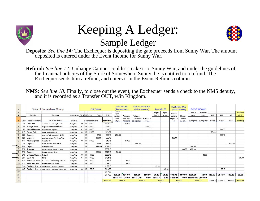



**Deposits:** *See line 14:* The Exchequer is depositing the gate proceeds from Sunny War. The amount deposited is entered under the Event Income for Sunny War.

**Refund:** *See line 17:* Unhappy Camper couldn't make it to Sunny War, and under the guidelines of the financial policies of the Shire of Somewhere Sunny, he is entitled to a refund. The Exchequer sends him a refund, and enters it in the Event Refunds column.

**NMS:** *See line 18:* Finally, to close out the event, the Exchequer sends a check to the NMS deputy, and it is recorded as a Transfer OUT, w/in Kingdom.

| $\overline{c}$ | Shire of Somewhere Sunny |                       |                                                     |                   |     |                        |                 | <b>CHECKING</b> |          | <b>ADVANCES</b><br>(Receivables) |         | <b>SITE ADVANCES</b><br>(Other Assets)        |                      |                | <b>PAYABLES</b> | <b>RESERVATIONS</b> | (Other Liabilities) |                    | <b>EVENT INCOME</b>  |         |         |         |            |
|----------------|--------------------------|-----------------------|-----------------------------------------------------|-------------------|-----|------------------------|-----------------|-----------------|----------|----------------------------------|---------|-----------------------------------------------|----------------------|----------------|-----------------|---------------------|---------------------|--------------------|----------------------|---------|---------|---------|------------|
| $\mathbf{3}$   |                          |                       |                                                     |                   |     |                        |                 |                 |          | ਜ਼ਿਲਾਰ                           |         |                                               |                      | Repts          | Pumt            |                     |                     | dep'd              | Refunds              |         |         |         | Transfers  |
|                |                          | Paid To or            | Reason                                              | <b>Event Name</b> |     |                        | $Ck$ # $R$ with | Dep             | Bal      | repts<br>and/or                  | Advance | Returned                                      |                      | Rec'd          | made            | Reser-<br>vations   | Recor-              | rec'd              | paid                 | AB.     | AB.     | AB.     | OUT        |
|                | Date                     | Received From         | for Transaction                                     | or Office         |     | <b>Balance forward</b> |                 |                 | 1500.00  | cash<br>return                   |         | s or Bad   or recorded<br>Checks   as expense | Paid site<br>advance |                |                 | deposite            | ded as<br>income    |                    | Sunny War  Sunny War | Food    | Supp.   | Site    | włin king. |
| 6              | 1/1                      | Duke Joe              | Advance for archery targets                         | Sunny War         |     |                        | 101 R 250.00    |                 | 1250.00  |                                  | 250.00  |                                               |                      |                |                 |                     |                     |                    |                      |         |         |         |            |
|                | 1/1                      | Sunny Church          | Deposit for Hall and Kitchen                        | Sunny War         |     | $102$ R                | 450.00          |                 | 800.00   |                                  |         |                                               | 450.00               |                |                 |                     |                     |                    |                      |         |         |         |            |
| 8              | 1/2                      | Bob's Haybales        | Haybales for fighting                               | Sunny War         |     | $103$ $R$              | 100.00          |                 | 700.00   |                                  |         |                                               |                      |                |                 |                     |                     |                    |                      |         | 100.00  |         |            |
| 9              | 1/15                     | Sam's Club            | Food for Dauboard                                   | Sunny War         |     | $104$ R                | 125.68          |                 | 574.32   |                                  |         |                                               |                      |                |                 |                     |                     |                    |                      | 125.68  |         |         |            |
| 10             | 1/20                     | Deposit               | return of advance check # 101                       | Sunny War         |     | R                      |                 | 17.83           | 592.15   | 250.00                           |         |                                               |                      |                |                 |                     |                     |                    |                      |         | 232.17  |         |            |
|                | 1/20                     | Deposit               | prereservations for Sunny War                       | Sunny War         |     | B.                     |                 | 400.00          | 992.15   |                                  |         |                                               |                      |                |                 | 400.00              |                     |                    |                      |         |         |         |            |
| 12             | 1/31                     | Mary Bigpurse         | Seed for Troll                                      | Sunny War         |     | $105$ R                | 150.00          |                 | 842.15   |                                  | 150.00  |                                               |                      |                |                 |                     |                     |                    |                      |         |         |         |            |
| 13             | 2H                       | Deposit               | return of refundable site fee                       | Sunny War         |     | R.                     |                 | 50.00           | 892.15   |                                  |         | 450.00                                        |                      |                |                 |                     |                     |                    |                      |         |         | 400.00  |            |
| 14             | 2/10                     | Deposit               | Gate proceeds                                       | Sunny War         |     | B.                     |                 | #####           | 2092.15  |                                  |         |                                               |                      |                |                 |                     |                     | 1200.00            |                      |         |         |         |            |
| 15             | 2/10                     | Transfer              | Move funds to event income                          | Sunny War         |     |                        |                 |                 | 2092.15  |                                  |         |                                               |                      |                |                 |                     | 400.00              | 400.00             |                      |         |         |         |            |
| 16             | 2/10                     | Deposit               | Return seed for Troll                               | Sunny War         |     | B.                     |                 | 150.00          | 2242.15  | 150.00                           |         |                                               |                      |                |                 |                     |                     |                    |                      |         |         |         |            |
|                | 2/10                     | Unhappy Camper Refund |                                                     | Sunny War         |     | 106 R                  | 12.00           |                 | 2230.15  |                                  |         |                                               |                      |                |                 |                     |                     |                    | 12.00                |         |         |         |            |
|                | 2111                     | SCA, Inc.             | <b>NMS</b>                                          | Sunny War         |     | $107$ R                | 36.00           |                 | 2194.15  |                                  |         |                                               |                      |                |                 |                     |                     |                    |                      |         |         |         | 36.00      |
| 19             | 2ł28                     | Returned Check        | Ins Funds - Mrs. Bratty Attendee                    | Sunny War         |     | R                      | 15.00           |                 | 2179.15  |                                  | 15.00   |                                               |                      |                |                 |                     |                     |                    |                      |         |         |         |            |
| 20             | 2/28                     | <b>Ret Check Fee</b>  | Fee for bounced check                               | Sunny War         |     | B.                     | 10.00           |                 | 2169.15  |                                  | 10.00   |                                               |                      |                |                 |                     |                     |                    |                      |         |         |         |            |
| 21             |                          |                       | 2/28 Duchess Joanna site tokens - receipts received | Sunny War         |     |                        |                 |                 | 2169.15  |                                  |         |                                               |                      | 25.16          |                 |                     |                     |                    |                      |         |         |         |            |
| 22             | 3l2                      |                       | Duchess Joanna Site tokens - receipts reimbursed    | Sunny War         | 108 | <b>R</b>               | 25.16           |                 | 2143.99  |                                  |         |                                               |                      |                | 25.16           |                     |                     |                    |                      |         | 25.16   |         |            |
| 23             |                          |                       |                                                     |                   |     |                        |                 |                 | 2143.99  |                                  |         |                                               |                      |                |                 |                     |                     |                    |                      |         |         |         |            |
| 24             |                          |                       |                                                     |                   |     |                        |                 |                 | 2143.99  | 400.00                           | 425.00  | 450.00                                        | 450.00               | 25.16          | 25.16           | 400.00              | 400.00              | 1600.00            | 12.00                | 125.68  | 357.33  | 400.00  | 36.00      |
| 25             |                          |                       |                                                     |                   |     |                        |                 |                 |          | <b>Total Re</b>                  | 25.00   | <b>Total Oth-</b>                             | 0.00                 | <b>Total P</b> | 0.00            | Total OI            | 0.00                | let incom 1,588.00 |                      |         |         |         |            |
| 26             |                          |                       |                                                     |                   |     |                        |                 |                 | Sheet 3a |                                  | Sheet 5 | Sheet 5                                       |                      |                | Sheet 5         |                     | Sheet 5             |                    | Sheet 11b            | Sheet 2 | Sheet 2 | Sheet 2 | Sheet 10   |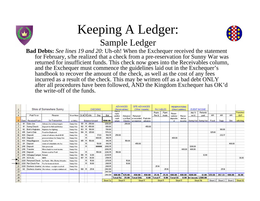



**Bad Debts:** *See lines 19 and 20*: Uh-oh! When the Exchequer received the statement for February, s/he realized that a check from a pre-reservation for Sunny War was returned for insufficient funds. This check now goes into the Receivables column, and the Exchequer must commence the guidelines laid out in the Exchequer's handbook to recover the amount of the check, as well as the cost of any fees incurred as a result of the check. This may be written off as a bad debt ONLY after all procedures have been followed, AND the Kingdom Exchequer has OK'd the write-off of the funds.

| $\overline{c}$           |      | Shire of Somewhere Sunny   |                                                      |            |         | <b>CHECKING</b>                   |            | <b>ADVANCES</b><br>(Receivables) |                 | <b>SITE ADVANCES</b><br>(Other Assets) |                                           |                      | <b>PAYABLES</b> |         | <b>RESERVATIONS</b><br>(Other Liabilities) | <b>EVENT INCOME</b> |                     |           |         |             |        |                    |
|--------------------------|------|----------------------------|------------------------------------------------------|------------|---------|-----------------------------------|------------|----------------------------------|-----------------|----------------------------------------|-------------------------------------------|----------------------|-----------------|---------|--------------------------------------------|---------------------|---------------------|-----------|---------|-------------|--------|--------------------|
| 3                        |      |                            |                                                      |            |         |                                   |            |                                  | meorg           |                                        |                                           |                      | Repts           | Pumt    | Reser-                                     |                     | dep'd               | Refunds   |         |             |        | Transfers          |
| $\ddot{4}$               |      | Paid To or                 | Reason                                               | Event Name |         | Ck # R Vith                       | <b>Dep</b> | Bal                              | repts<br>and/or | Advance                                | Returned                                  |                      | Rec'd           | made    | vations                                    | Recor-              | rec'd               | paid      | AB.     | AB.         | AB.    | OUT                |
|                          |      | Date   Received From       | for Transaction                                      | or Office  |         | 1500.00<br><b>Balance forward</b> |            |                                  | cash<br>return  |                                        | s or Bad or recorded<br>Checks as expense | Paid site<br>advance |                 |         | deposite                                   | ded as<br>income    | Sunny War Sunny War |           | Food    | <b>Supp</b> | Site   | włin king.         |
| 6                        | 1/1  | Duke Joe                   | Advance for archery targets                          | Sunny War  |         | $101$ R $250.00$                  |            | 1250.00                          |                 | 250.00                                 |                                           |                      |                 |         |                                            |                     |                     |           |         |             |        |                    |
|                          | 1/1  | Sunny Church               | Deposit for Hall and Kitchen                         | Sunny War  |         | 102 R 450.00                      |            | 800.00                           |                 |                                        |                                           | 450.00               |                 |         |                                            |                     |                     |           |         |             |        |                    |
| 8                        |      | 1/2 Bob's Haubales         | Haybales for fighting                                | Sunny War  | $103$ R |                                   | 100.00     | 700.00                           |                 |                                        |                                           |                      |                 |         |                                            |                     |                     |           |         | 100.00      |        |                    |
| $\mathbf{9}$             |      | 1/15 Sam's Club            | Food for Dauboard                                    | Sunny War  | $104$ R |                                   | 125.68     | 574.32                           |                 |                                        |                                           |                      |                 |         |                                            |                     |                     |           | 125.68  |             |        |                    |
| 10 <sup>10</sup>         | 1/20 | Deposit                    | return of advance check # 101                        | Sunny War  |         | B                                 | 17.83      | 592.15                           | 250.00          |                                        |                                           |                      |                 |         |                                            |                     |                     |           |         | 232.17      |        |                    |
| 11                       |      | 1/20 Deposit               | prereservations for Sunny War                        | Sunny War  |         | B.                                | 400.00     | 992.15                           |                 |                                        |                                           |                      |                 |         | 400.00                                     |                     |                     |           |         |             |        |                    |
| 12                       |      | 1/31 Mary Bigpurse         | Seed for Troll                                       | Sunny War  |         | $105$ R                           | 150.00     | 842.15                           |                 | 150.00                                 |                                           |                      |                 |         |                                            |                     |                     |           |         |             |        |                    |
| 13                       | 2H   | Deposit                    | return of refundable site fee                        | Sunny War  |         | B.                                | 50.00      | 892.15                           |                 |                                        | 450.00                                    |                      |                 |         |                                            |                     |                     |           |         |             | 400.00 |                    |
| 14                       |      | 2/10 Deposit               | Gate proceeds                                        | Sunny War  |         | B.                                | #####      | 2092.15                          |                 |                                        |                                           |                      |                 |         |                                            |                     | 1200.00             |           |         |             |        |                    |
| 15                       |      | 2/10 Transfer              | Move funds to event income                           | Sunny War  |         |                                   |            | 2092.15                          |                 |                                        |                                           |                      |                 |         |                                            | 400.00              | 400.00              |           |         |             |        |                    |
| 16                       |      | 2/10 Deposit               | Return seed for Troll                                | Sunny War  |         | B.                                | 150.00     | 2242.15                          | 150.00          |                                        |                                           |                      |                 |         |                                            |                     |                     |           |         |             |        |                    |
| 17                       |      | 2/10 Unhappy Camper Refund |                                                      | Sunny War  | $106$ R |                                   | 12.00      | 2230.15                          |                 |                                        |                                           |                      |                 |         |                                            |                     |                     | 12.00     |         |             |        |                    |
| 18                       | 2111 | SCA, Inc.                  | <b>NMS</b>                                           | Sunny War  | $107$ R |                                   | 36.00      | 2194.15                          |                 |                                        |                                           |                      |                 |         |                                            |                     |                     |           |         |             |        | 36.00              |
|                          |      | 2/28 Returned Check        | Ins Funds - Mrs. Bratty Attendee                     | Sunny War  |         | B                                 | 15.00      | 2179.15                          |                 | 15.00                                  |                                           |                      |                 |         |                                            |                     |                     |           |         |             |        |                    |
| $\blacktriangleright$ 20 |      | 2/28 Ret Check Fee         | Fee for bounced check                                | Sunny War  |         | B                                 | 10.00      | 2169.15                          |                 | 10.00                                  |                                           |                      |                 |         |                                            |                     |                     |           |         |             |        |                    |
| 21                       |      |                            | 2/28 Duchess Joanna site tokens - receipts received  | Sunny War  |         |                                   |            | 2169.15                          |                 |                                        |                                           |                      | 25.16           |         |                                            |                     |                     |           |         |             |        |                    |
| 22                       |      |                            | 3/2 Duchess Joanna Site tokens - receipts reimbursed | Sunny War  | $108$ R |                                   | 25.16      | 2143.99                          |                 |                                        |                                           |                      |                 | 25.16   |                                            |                     |                     |           |         | 25.16       |        |                    |
| 23                       |      |                            |                                                      |            |         |                                   |            | 2143.99                          |                 |                                        |                                           |                      |                 |         |                                            |                     |                     |           |         |             |        |                    |
| 24                       |      |                            |                                                      |            |         |                                   |            | 2143.99                          | 400.00          | 425.00                                 | 450.00                                    | 450.00               | 25.16           | 25.16   | 400.00                                     | 400.00              | 1600.00             | 12.00     | 125.68  | 357.33      | 400.00 | 36.00              |
| 25                       |      |                            |                                                      |            |         |                                   |            |                                  | Total Re        |                                        | 25.00 Total Oth                           | 0.00                 | Total P         | 0.00    | Total OI                                   | 0.00                | let incom 1,588.00  |           |         |             |        |                    |
| 26                       |      |                            |                                                      |            |         |                                   |            | Sheet 3a                         |                 | Sheet 5                                |                                           | Sheet 5              |                 | Sheet 5 |                                            | Sheet 5             |                     | Sheet 11b | Sheet 2 | Sheet 2     |        | Sheet 2   Sheet 10 |
|                          |      |                            |                                                      |            |         |                                   |            |                                  |                 |                                        |                                           |                      |                 |         |                                            |                     |                     |           |         |             |        |                    |